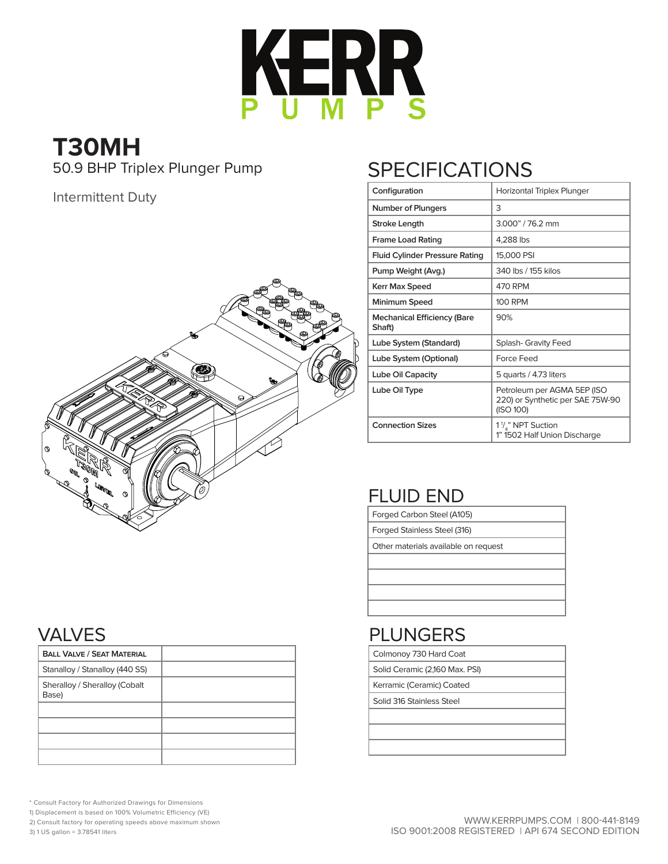

# **T30MH** 50.9 BHP Triplex Plunger Pump

Intermittent Duty



# **SPECIFICATIONS**

| Configuration                                | Horizontal Triplex Plunger                                                   |
|----------------------------------------------|------------------------------------------------------------------------------|
| <b>Number of Plungers</b>                    | 3                                                                            |
| <b>Stroke Lenath</b>                         | 3.000" / 76.2 mm                                                             |
| <b>Frame Load Rating</b>                     | 4,288 lbs                                                                    |
| <b>Fluid Cylinder Pressure Rating</b>        | 15,000 PSI                                                                   |
| Pump Weight (Avg.)                           | 340 lbs / 155 kilos                                                          |
| Kerr Max Speed                               | 470 RPM                                                                      |
| Minimum Speed                                | <b>100 RPM</b>                                                               |
| <b>Mechanical Efficiency (Bare</b><br>Shaft) | 90%                                                                          |
| Lube System (Standard)                       | <b>Splash- Gravity Feed</b>                                                  |
| Lube System (Optional)                       | Force Feed                                                                   |
| Lube Oil Capacity                            | 5 quarts / 4.73 liters                                                       |
| Lube Oil Type                                | Petroleum per AGMA 5EP (ISO<br>220) or Synthetic per SAE 75W-90<br>(ISO 100) |
| <b>Connection Sizes</b>                      | 1 <sup>1</sup> / <sub>4</sub> " NPT Suction<br>1" 1502 Half Union Discharge  |

# FLUID END

Forged Carbon Steel (A105)

Forged Stainless Steel (316)

Other materials available on request

#### PLUNGERS

Colmonoy 730 Hard Coat

Solid Ceramic (2,160 Max. PSI)

Kerramic (Ceramic) Coated

Solid 316 Stainless Steel

#### VALVES

| <b>BALL VALVE / SEAT MATERIAL</b>      |  |
|----------------------------------------|--|
| Stanalloy / Stanalloy (440 SS)         |  |
| Sheralloy / Sheralloy (Cobalt<br>Base) |  |
|                                        |  |
|                                        |  |
|                                        |  |
|                                        |  |

\* Consult Factory for Authorized Drawings for Dimensions

1) Displacement is based on 100% Volumetric Efficiency (VE)

2) Consult factory for operating speeds above maximum shown

3) 1 US gallon = 3.78541 liters